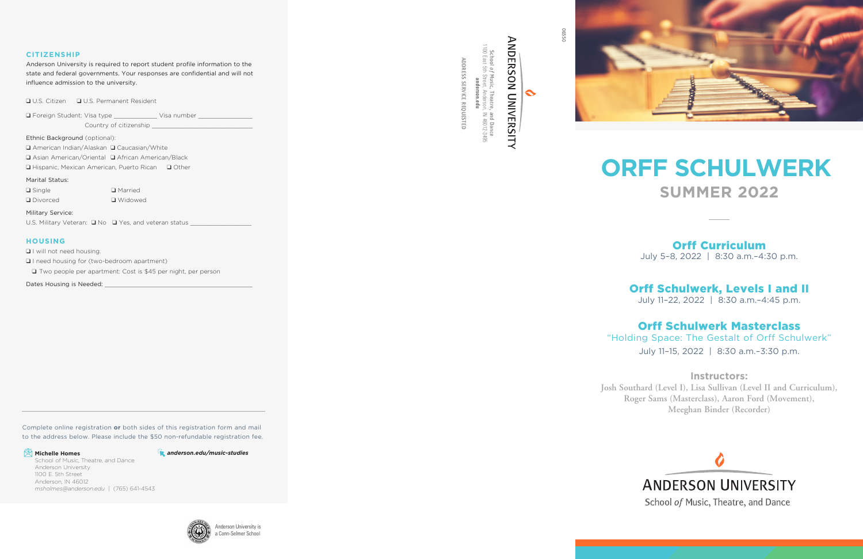06550



 $\ddot{\sim}$ 

#### **CITIZENSHIP**

ADDRESS SERVICE REQUESTED

ADDRESS SERVICE REQUESTED



Anderson University is required to report student profile information to the state and federal governments. Your responses are confidential and will not influence admission to the university.

**Q** U.S. Citizen **Q** U.S. Permanent Resident

q Foreign Student: Visa type \_\_\_\_\_\_\_\_\_\_\_\_ Visa number \_\_\_\_\_\_\_\_\_\_\_\_\_\_\_

Country of citizenship

Ethnic Background (optional):

□ American Indian/Alaskan □ Caucasian/White

**Q** Asian American/Oriental Q African American/Black

 $\Box$  Hispanic, Mexican American, Puerto Rican  $\Box$  Other

Marital Status:

 $\Box$  Single **Q** Married **Q** Divorced **Q** Widowed

Military Service:

U.S. Military Veteran:  $\Box$  No  $\Box$  Yes, and veteran status \_\_\_\_\_\_\_\_\_\_\_\_\_\_\_\_\_\_\_\_

#### **HOUSING**

**Q** I will not need housing.

**Q** I need housing for (two-bedroom apartment)

□ Two people per apartment: Cost is \$45 per night, per person

Dates Housing is Needed:



# **ORFF SCHULWERK SUMMER 2022**

## Orff Curriculum

July 5–8, 2022 | 8:30 a.m.–4:30 p.m.

# Orff Schulwerk, Levels I and II

July 11–22, 2022 | 8:30 a.m.–4:45 p.m.

## Orff Schulwerk Masterclass

"Holding Space: The Gestalt of Orff Schulwerk" July 11–15, 2022 | 8:30 a.m.–3:30 p.m.

### **Instructors:**



# **ANDERSON UNIVERSITY**

School of Music, Theatre, and Dance

**Josh Southard (Level I), Lisa Sullivan (Level II and Curriculum), Roger Sams (Masterclass), Aaron Ford (Movement), Meeghan Binder (Recorder)**



Complete online registration **or** both sides of this registration form and mail to the address below. Please include the \$50 non-refundable registration fee.

### **E** Michelle Homes

School of Music, Theatre, and Dance Anderson University 1100 E. 5th Street Anderson, IN 46012 *msholmes@anderson.edu* | (765) 641-4543